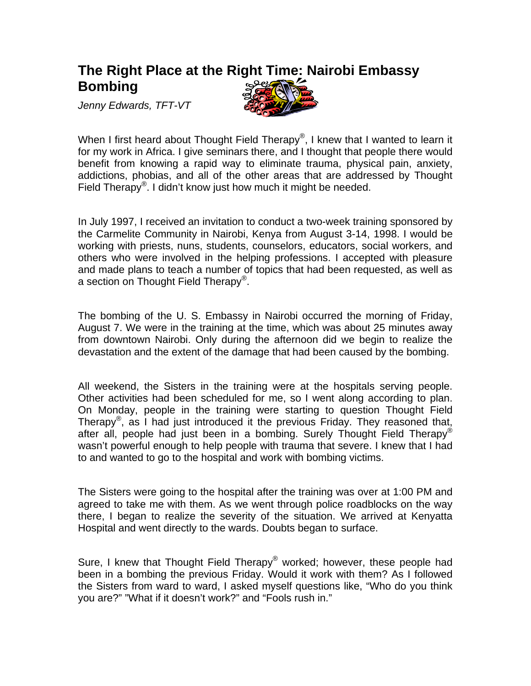## **The Right Place at the Right Time: Nairobi Embassy Bombing**

*Jenny Edwards, TFT-VT* 



When I first heard about Thought Field Therapy<sup>®</sup>, I knew that I wanted to learn it for my work in Africa. I give seminars there, and I thought that people there would benefit from knowing a rapid way to eliminate trauma, physical pain, anxiety, addictions, phobias, and all of the other areas that are addressed by Thought Field Therapy®. I didn't know just how much it might be needed.

In July 1997, I received an invitation to conduct a two-week training sponsored by the Carmelite Community in Nairobi, Kenya from August 3-14, 1998. I would be working with priests, nuns, students, counselors, educators, social workers, and others who were involved in the helping professions. I accepted with pleasure and made plans to teach a number of topics that had been requested, as well as a section on Thought Field Therapy<sup>®</sup>.

The bombing of the U. S. Embassy in Nairobi occurred the morning of Friday, August 7. We were in the training at the time, which was about 25 minutes away from downtown Nairobi. Only during the afternoon did we begin to realize the devastation and the extent of the damage that had been caused by the bombing.

All weekend, the Sisters in the training were at the hospitals serving people. Other activities had been scheduled for me, so I went along according to plan. On Monday, people in the training were starting to question Thought Field Therapy<sup>®</sup>, as I had just introduced it the previous Friday. They reasoned that, after all, people had just been in a bombing. Surely Thought Field Therapy<sup>®</sup> wasn't powerful enough to help people with trauma that severe. I knew that I had to and wanted to go to the hospital and work with bombing victims.

The Sisters were going to the hospital after the training was over at 1:00 PM and agreed to take me with them. As we went through police roadblocks on the way there, I began to realize the severity of the situation. We arrived at Kenyatta Hospital and went directly to the wards. Doubts began to surface.

Sure, I knew that Thought Field Therapy<sup>®</sup> worked; however, these people had been in a bombing the previous Friday. Would it work with them? As I followed the Sisters from ward to ward, I asked myself questions like, "Who do you think you are?" "What if it doesn't work?" and "Fools rush in."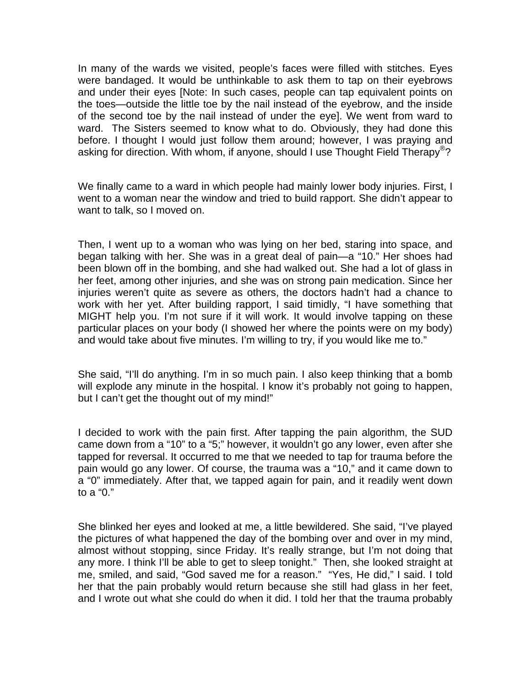In many of the wards we visited, people's faces were filled with stitches. Eyes were bandaged. It would be unthinkable to ask them to tap on their eyebrows and under their eyes [Note: In such cases, people can tap equivalent points on the toes—outside the little toe by the nail instead of the eyebrow, and the inside of the second toe by the nail instead of under the eye]. We went from ward to ward. The Sisters seemed to know what to do. Obviously, they had done this before. I thought I would just follow them around; however, I was praying and asking for direction. With whom, if anyone, should I use Thought Field Therapy<sup>®</sup>?

We finally came to a ward in which people had mainly lower body injuries. First, I went to a woman near the window and tried to build rapport. She didn't appear to want to talk, so I moved on.

Then, I went up to a woman who was lying on her bed, staring into space, and began talking with her. She was in a great deal of pain—a "10." Her shoes had been blown off in the bombing, and she had walked out. She had a lot of glass in her feet, among other injuries, and she was on strong pain medication. Since her injuries weren't quite as severe as others, the doctors hadn't had a chance to work with her yet. After building rapport, I said timidly, "I have something that MIGHT help you. I'm not sure if it will work. It would involve tapping on these particular places on your body (I showed her where the points were on my body) and would take about five minutes. I'm willing to try, if you would like me to."

She said, "I'll do anything. I'm in so much pain. I also keep thinking that a bomb will explode any minute in the hospital. I know it's probably not going to happen, but I can't get the thought out of my mind!"

I decided to work with the pain first. After tapping the pain algorithm, the SUD came down from a "10" to a "5;" however, it wouldn't go any lower, even after she tapped for reversal. It occurred to me that we needed to tap for trauma before the pain would go any lower. Of course, the trauma was a "10," and it came down to a "0" immediately. After that, we tapped again for pain, and it readily went down to a "0."

She blinked her eyes and looked at me, a little bewildered. She said, "I've played the pictures of what happened the day of the bombing over and over in my mind, almost without stopping, since Friday. It's really strange, but I'm not doing that any more. I think I'll be able to get to sleep tonight." Then, she looked straight at me, smiled, and said, "God saved me for a reason." "Yes, He did," I said. I told her that the pain probably would return because she still had glass in her feet, and I wrote out what she could do when it did. I told her that the trauma probably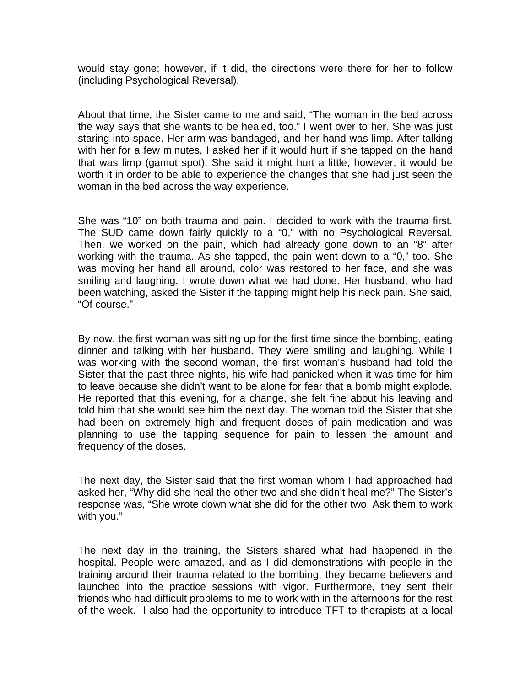would stay gone; however, if it did, the directions were there for her to follow (including Psychological Reversal).

About that time, the Sister came to me and said, "The woman in the bed across the way says that she wants to be healed, too." I went over to her. She was just staring into space. Her arm was bandaged, and her hand was limp. After talking with her for a few minutes, I asked her if it would hurt if she tapped on the hand that was limp (gamut spot). She said it might hurt a little; however, it would be worth it in order to be able to experience the changes that she had just seen the woman in the bed across the way experience.

She was "10" on both trauma and pain. I decided to work with the trauma first. The SUD came down fairly quickly to a "0," with no Psychological Reversal. Then, we worked on the pain, which had already gone down to an "8" after working with the trauma. As she tapped, the pain went down to a "0," too. She was moving her hand all around, color was restored to her face, and she was smiling and laughing. I wrote down what we had done. Her husband, who had been watching, asked the Sister if the tapping might help his neck pain. She said, "Of course."

By now, the first woman was sitting up for the first time since the bombing, eating dinner and talking with her husband. They were smiling and laughing. While I was working with the second woman, the first woman's husband had told the Sister that the past three nights, his wife had panicked when it was time for him to leave because she didn't want to be alone for fear that a bomb might explode. He reported that this evening, for a change, she felt fine about his leaving and told him that she would see him the next day. The woman told the Sister that she had been on extremely high and frequent doses of pain medication and was planning to use the tapping sequence for pain to lessen the amount and frequency of the doses.

The next day, the Sister said that the first woman whom I had approached had asked her, "Why did she heal the other two and she didn't heal me?" The Sister's response was, "She wrote down what she did for the other two. Ask them to work with you."

The next day in the training, the Sisters shared what had happened in the hospital. People were amazed, and as I did demonstrations with people in the training around their trauma related to the bombing, they became believers and launched into the practice sessions with vigor. Furthermore, they sent their friends who had difficult problems to me to work with in the afternoons for the rest of the week. I also had the opportunity to introduce TFT to therapists at a local